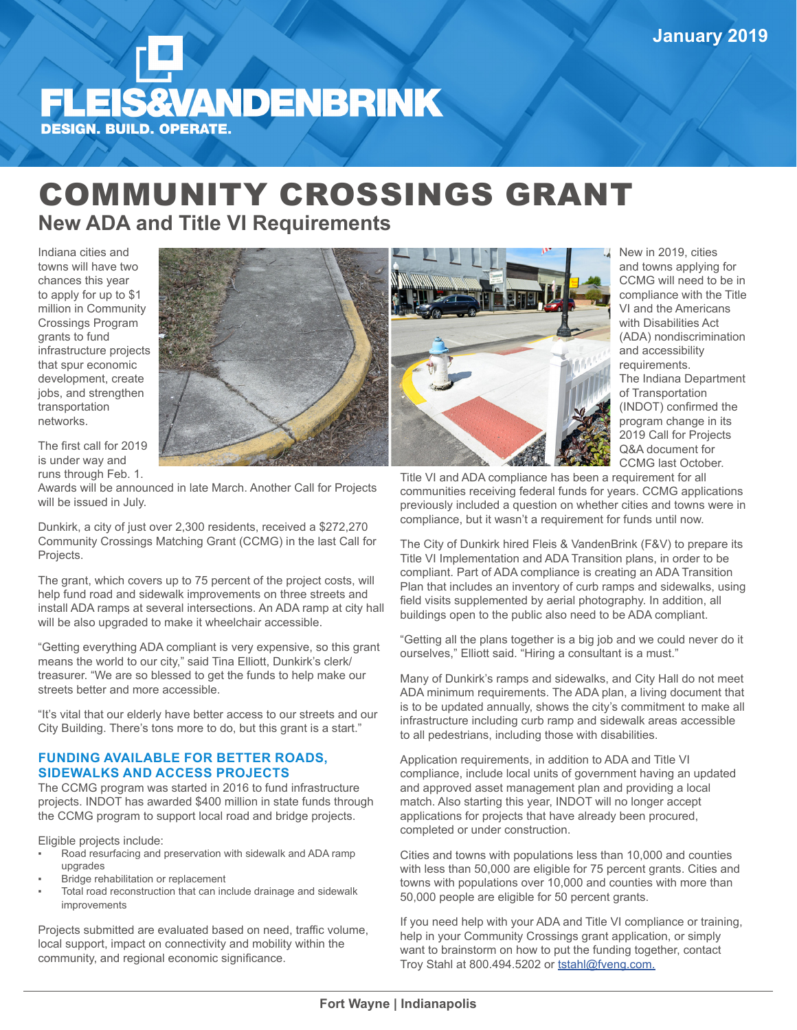

## COMMUNITY CROSSINGS GRANT **New ADA and Title VI Requirements**

Indiana cities and towns will have two chances this year to apply for up to \$1 million in Community Crossings Program grants to fund infrastructure projects that spur economic development, create jobs, and strengthen transportation networks.



The first call for 2019 is under way and runs through Feb. 1.

Awards will be announced in late March. Another Call for Projects will be issued in July.

Dunkirk, a city of just over 2,300 residents, received a \$272,270 Community Crossings Matching Grant (CCMG) in the last Call for Projects.

The grant, which covers up to 75 percent of the project costs, will help fund road and sidewalk improvements on three streets and install ADA ramps at several intersections. An ADA ramp at city hall will be also upgraded to make it wheelchair accessible.

"Getting everything ADA compliant is very expensive, so this grant means the world to our city," said Tina Elliott, Dunkirk's clerk/ treasurer. "We are so blessed to get the funds to help make our streets better and more accessible.

"It's vital that our elderly have better access to our streets and our City Building. There's tons more to do, but this grant is a start."

## **FUNDING AVAILABLE FOR BETTER ROADS, SIDEWALKS AND ACCESS PROJECTS**

The CCMG program was started in 2016 to fund infrastructure projects. INDOT has awarded \$400 million in state funds through the CCMG program to support local road and bridge projects.

Eligible projects include:

- Road resurfacing and preservation with sidewalk and ADA ramp upgrades
- Bridge rehabilitation or replacement
- Total road reconstruction that can include drainage and sidewalk improvements

Projects submitted are evaluated based on need, traffic volume, local support, impact on connectivity and mobility within the community, and regional economic significance.



New in 2019, cities and towns applying for CCMG will need to be in compliance with the Title VI and the Americans with Disabilities Act (ADA) nondiscrimination and accessibility requirements. The Indiana Department of Transportation (INDOT) confirmed the program change in its 2019 Call for Projects Q&A document for CCMG last October.

Title VI and ADA compliance has been a requirement for all communities receiving federal funds for years. CCMG applications previously included a question on whether cities and towns were in compliance, but it wasn't a requirement for funds until now.

The City of Dunkirk hired Fleis & VandenBrink (F&V) to prepare its Title VI Implementation and ADA Transition plans, in order to be compliant. Part of ADA compliance is creating an ADA Transition Plan that includes an inventory of curb ramps and sidewalks, using field visits supplemented by aerial photography. In addition, all buildings open to the public also need to be ADA compliant.

"Getting all the plans together is a big job and we could never do it ourselves," Elliott said. "Hiring a consultant is a must."

Many of Dunkirk's ramps and sidewalks, and City Hall do not meet ADA minimum requirements. The ADA plan, a living document that is to be updated annually, shows the city's commitment to make all infrastructure including curb ramp and sidewalk areas accessible to all pedestrians, including those with disabilities.

Application requirements, in addition to ADA and Title VI compliance, include local units of government having an updated and approved asset management plan and providing a local match. Also starting this year, INDOT will no longer accept applications for projects that have already been procured, completed or under construction.

Cities and towns with populations less than 10,000 and counties with less than 50,000 are eligible for 75 percent grants. Cities and towns with populations over 10,000 and counties with more than 50,000 people are eligible for 50 percent grants.

If you need help with your ADA and Title VI compliance or training, help in your Community Crossings grant application, or simply want to brainstorm on how to put the funding together, contact Troy Stahl at 800.494.5202 or tstahl@fveng.com.